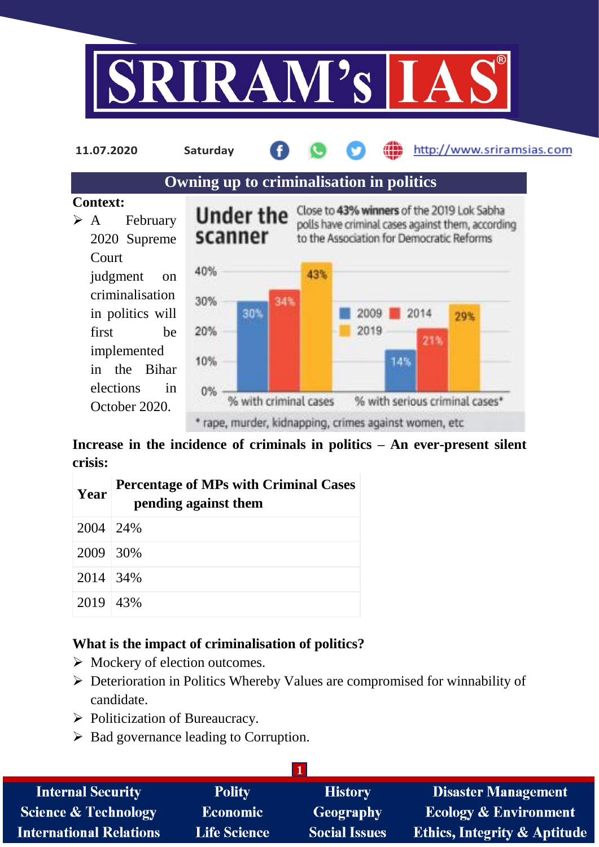



**Increase in the incidence of criminals in politics – An ever-present silent crisis:**

| Year       | <b>Percentage of MPs with Criminal Cases</b><br>pending against them |  |  |  |
|------------|----------------------------------------------------------------------|--|--|--|
| 2004   24% |                                                                      |  |  |  |
| 2009 30\%  |                                                                      |  |  |  |
| 2014 34%   |                                                                      |  |  |  |
| 2019 43%   |                                                                      |  |  |  |

## **What is the impact of criminalisation of politics?**

- $\triangleright$  Mockery of election outcomes.
- Deterioration in Politics Whereby Values are compromised for winnability of candidate.
- $\triangleright$  Politicization of Bureaucracy.
- $\triangleright$  Bad governance leading to Corruption.

| <b>Internal Security</b>        | <b>Polity</b>       | <b>History</b>       | <b>Disaster Management</b>              |
|---------------------------------|---------------------|----------------------|-----------------------------------------|
| <b>Science &amp; Technology</b> | <b>Economic</b>     | <b>Geography</b>     | <b>Ecology &amp; Environment</b>        |
| <b>International Relations</b>  | <b>Life Science</b> | <b>Social Issues</b> | <b>Ethics, Integrity &amp; Aptitude</b> |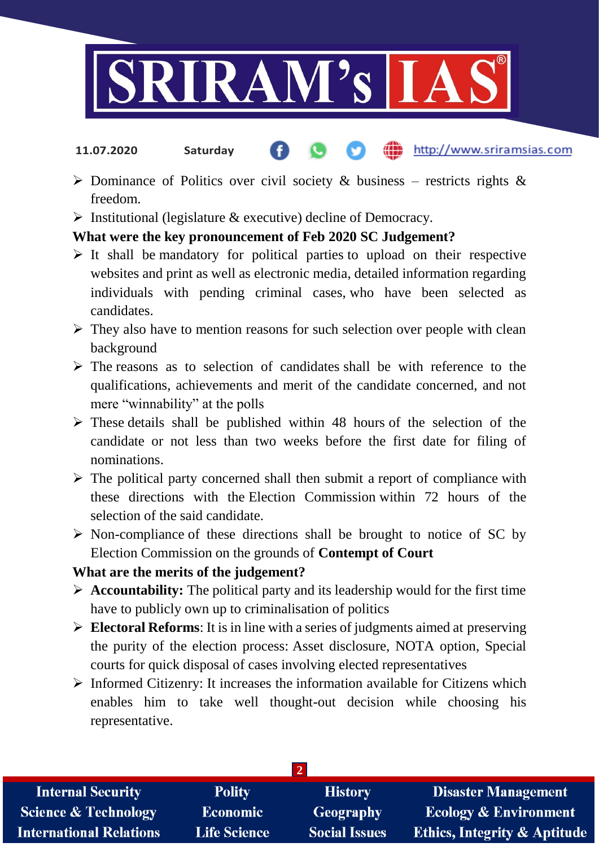

- http://www.sriramsias.com **11.07.2020 Saturday**
- $\triangleright$  Dominance of Politics over civil society & business restricts rights & freedom.
- $\triangleright$  Institutional (legislature & executive) decline of Democracy.

# **What were the key pronouncement of Feb 2020 SC Judgement?**

- $\triangleright$  It shall be mandatory for political parties to upload on their respective websites and print as well as electronic media, detailed information regarding individuals with pending criminal cases, who have been selected as candidates.
- $\triangleright$  They also have to mention reasons for such selection over people with clean background
- $\triangleright$  The reasons as to selection of candidates shall be with reference to the qualifications, achievements and merit of the candidate concerned, and not mere "winnability" at the polls
- $\triangleright$  These details shall be published within 48 hours of the selection of the candidate or not less than two weeks before the first date for filing of nominations.
- $\triangleright$  The political party concerned shall then submit a report of compliance with these directions with the Election Commission within 72 hours of the selection of the said candidate.
- $\triangleright$  Non-compliance of these directions shall be brought to notice of SC by Election Commission on the grounds of **Contempt of Court**

## **What are the merits of the judgement?**

- $\triangleright$  **Accountability:** The political party and its leadership would for the first time have to publicly own up to criminalisation of politics
- **Electoral Reforms**: It is in line with a series of judgments aimed at preserving the purity of the election process: Asset disclosure, NOTA option, Special courts for quick disposal of cases involving elected representatives
- $\triangleright$  Informed Citizenry: It increases the information available for Citizens which enables him to take well thought-out decision while choosing his representative.

| <b>Internal Security</b>        | <b>Polity</b>       | <b>History</b>       | <b>Disaster Management</b>              |
|---------------------------------|---------------------|----------------------|-----------------------------------------|
| <b>Science &amp; Technology</b> | <b>Economic</b>     | Geography            | <b>Ecology &amp; Environment</b>        |
| <b>International Relations</b>  | <b>Life Science</b> | <b>Social Issues</b> | <b>Ethics, Integrity &amp; Aptitude</b> |